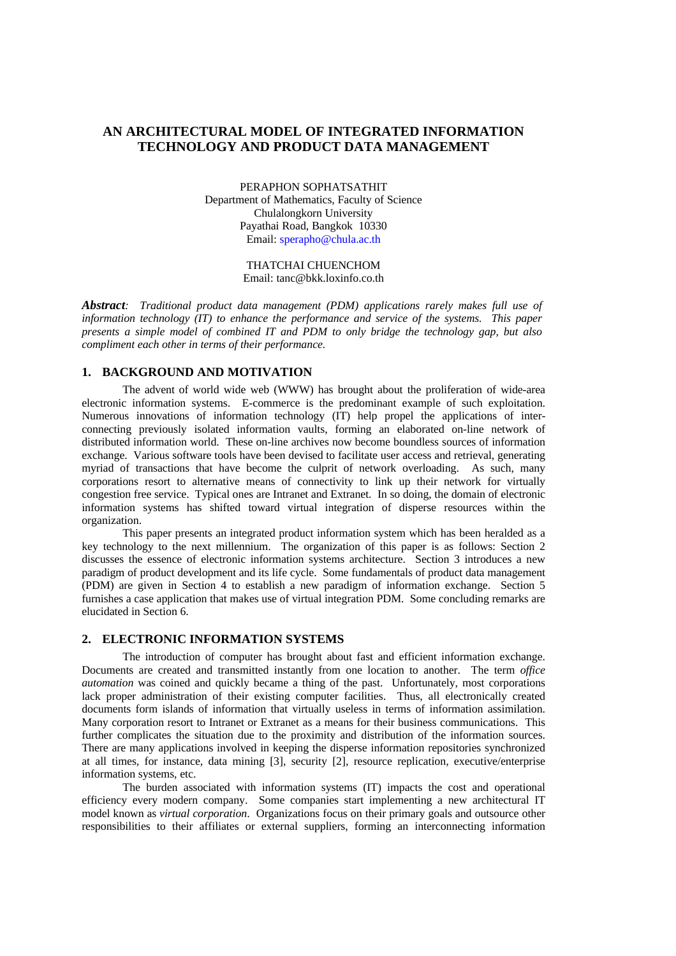# **AN ARCHITECTURAL MODEL OF INTEGRATED INFORMATION TECHNOLOGY AND PRODUCT DATA MANAGEMENT**

PERAPHON SOPHATSATHIT Department of Mathematics, Faculty of Science Chulalongkorn University Payathai Road, Bangkok 10330 Email: sperapho@chula.ac.th

> THATCHAI CHUENCHOM Email: tanc@bkk.loxinfo.co.th

*Abstract: Traditional product data management (PDM) applications rarely makes full use of information technology (IT) to enhance the performance and service of the systems. This paper presents a simple model of combined IT and PDM to only bridge the technology gap, but also compliment each other in terms of their performance.*

## **1. BACKGROUND AND MOTIVATION**

The advent of world wide web (WWW) has brought about the proliferation of wide-area electronic information systems. E-commerce is the predominant example of such exploitation. Numerous innovations of information technology (IT) help propel the applications of interconnecting previously isolated information vaults, forming an elaborated on-line network of distributed information world. These on-line archives now become boundless sources of information exchange. Various software tools have been devised to facilitate user access and retrieval, generating myriad of transactions that have become the culprit of network overloading. As such, many corporations resort to alternative means of connectivity to link up their network for virtually congestion free service. Typical ones are Intranet and Extranet. In so doing, the domain of electronic information systems has shifted toward virtual integration of disperse resources within the organization.

This paper presents an integrated product information system which has been heralded as a key technology to the next millennium. The organization of this paper is as follows: Section 2 discusses the essence of electronic information systems architecture. Section 3 introduces a new paradigm of product development and its life cycle. Some fundamentals of product data management (PDM) are given in Section 4 to establish a new paradigm of information exchange. Section 5 furnishes a case application that makes use of virtual integration PDM. Some concluding remarks are elucidated in Section 6.

### **2. ELECTRONIC INFORMATION SYSTEMS**

The introduction of computer has brought about fast and efficient information exchange. Documents are created and transmitted instantly from one location to another. The term *office automation* was coined and quickly became a thing of the past. Unfortunately, most corporations lack proper administration of their existing computer facilities. Thus, all electronically created documents form islands of information that virtually useless in terms of information assimilation. Many corporation resort to Intranet or Extranet as a means for their business communications. This further complicates the situation due to the proximity and distribution of the information sources. There are many applications involved in keeping the disperse information repositories synchronized at all times, for instance, data mining [3], security [2], resource replication, executive/enterprise information systems, etc.

The burden associated with information systems (IT) impacts the cost and operational efficiency every modern company. Some companies start implementing a new architectural IT model known as *virtual corporation*. Organizations focus on their primary goals and outsource other responsibilities to their affiliates or external suppliers, forming an interconnecting information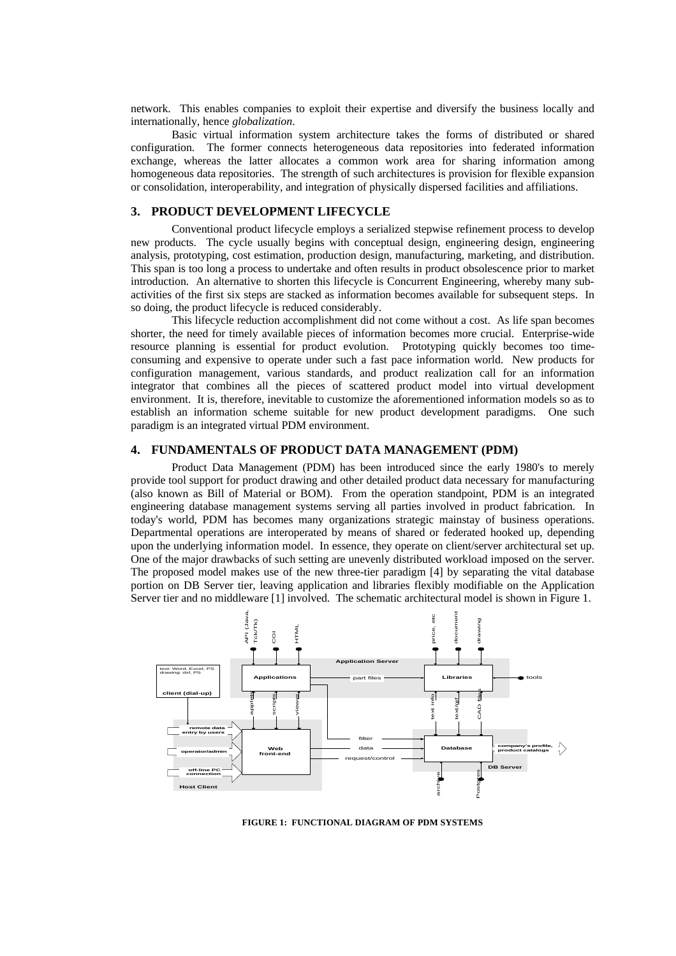network. This enables companies to exploit their expertise and diversify the business locally and internationally, hence *globalization*.

Basic virtual information system architecture takes the forms of distributed or shared configuration. The former connects heterogeneous data repositories into federated information exchange, whereas the latter allocates a common work area for sharing information among homogeneous data repositories. The strength of such architectures is provision for flexible expansion or consolidation, interoperability, and integration of physically dispersed facilities and affiliations.

### **3. PRODUCT DEVELOPMENT LIFECYCLE**

Conventional product lifecycle employs a serialized stepwise refinement process to develop new products. The cycle usually begins with conceptual design, engineering design, engineering analysis, prototyping, cost estimation, production design, manufacturing, marketing, and distribution. This span is too long a process to undertake and often results in product obsolescence prior to market introduction. An alternative to shorten this lifecycle is Concurrent Engineering, whereby many subactivities of the first six steps are stacked as information becomes available for subsequent steps. In so doing, the product lifecycle is reduced considerably.

This lifecycle reduction accomplishment did not come without a cost. As life span becomes shorter, the need for timely available pieces of information becomes more crucial. Enterprise-wide resource planning is essential for product evolution. Prototyping quickly becomes too timeconsuming and expensive to operate under such a fast pace information world. New products for configuration management, various standards, and product realization call for an information integrator that combines all the pieces of scattered product model into virtual development environment. It is, therefore, inevitable to customize the aforementioned information models so as to establish an information scheme suitable for new product development paradigms. One such paradigm is an integrated virtual PDM environment.

#### **4. FUNDAMENTALS OF PRODUCT DATA MANAGEMENT (PDM)**

Product Data Management (PDM) has been introduced since the early 1980's to merely provide tool support for product drawing and other detailed product data necessary for manufacturing (also known as Bill of Material or BOM). From the operation standpoint, PDM is an integrated engineering database management systems serving all parties involved in product fabrication. In today's world, PDM has becomes many organizations strategic mainstay of business operations. Departmental operations are interoperated by means of shared or federated hooked up, depending upon the underlying information model. In essence, they operate on client/server architectural set up. One of the major drawbacks of such setting are unevenly distributed workload imposed on the server. The proposed model makes use of the new three-tier paradigm [4] by separating the vital database portion on DB Server tier, leaving application and libraries flexibly modifiable on the Application Server tier and no middleware [1] involved. The schematic architectural model is shown in Figure 1.



**FIGURE 1: FUNCTIONAL DIAGRAM OF PDM SYSTEMS**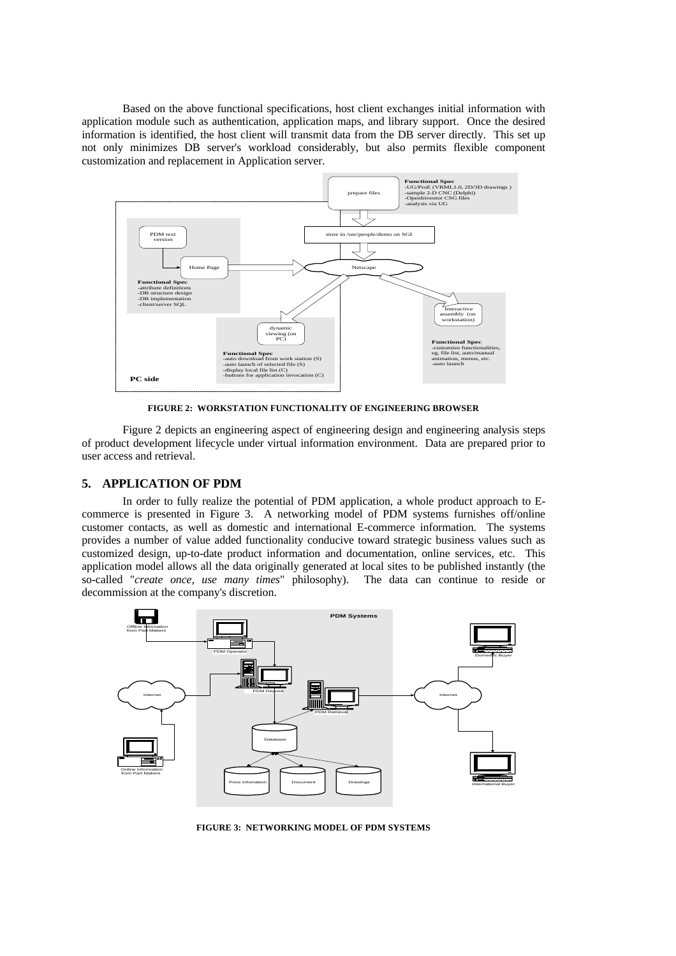Based on the above functional specifications, host client exchanges initial information with application module such as authentication, application maps, and library support. Once the desired information is identified, the host client will transmit data from the DB server directly. This set up not only minimizes DB server's workload considerably, but also permits flexible component customization and replacement in Application server.



**FIGURE 2: WORKSTATION FUNCTIONALITY OF ENGINEERING BROWSER**

Figure 2 depicts an engineering aspect of engineering design and engineering analysis steps of product development lifecycle under virtual information environment. Data are prepared prior to user access and retrieval.

# **5. APPLICATION OF PDM**

In order to fully realize the potential of PDM application, a whole product approach to Ecommerce is presented in Figure 3. A networking model of PDM systems furnishes off/online customer contacts, as well as domestic and international E-commerce information. The systems provides a number of value added functionality conducive toward strategic business values such as customized design, up-to-date product information and documentation, online services, etc. This application model allows all the data originally generated at local sites to be published instantly (the so-called "*create once, use many times*" philosophy). The data can continue to reside or decommission at the company's discretion.



**FIGURE 3: NETWORKING MODEL OF PDM SYSTEMS**